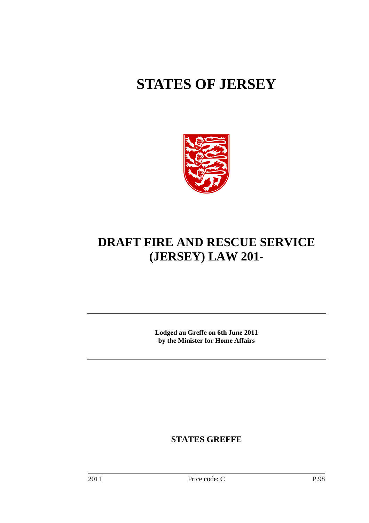# **STATES OF JERSEY**



# **DRAFT FIRE AND RESCUE SERVICE (JERSEY) LAW 201-**

**Lodged au Greffe on 6th June 2011 by the Minister for Home Affairs** 

**STATES GREFFE**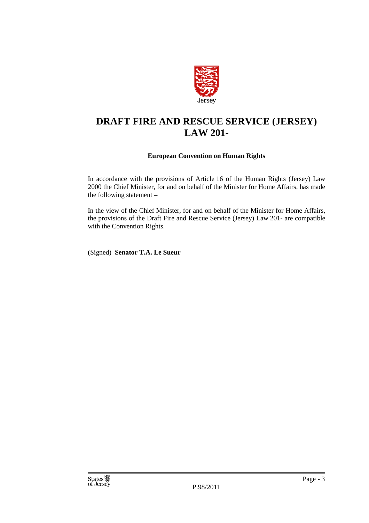

# **DRAFT FIRE AND RESCUE SERVICE (JERSEY) LAW 201-**

#### **European Convention on Human Rights**

In accordance with the provisions of Article 16 of the Human Rights (Jersey) Law 2000 the Chief Minister, for and on behalf of the Minister for Home Affairs, has made the following statement –

In the view of the Chief Minister, for and on behalf of the Minister for Home Affairs, the provisions of the Draft Fire and Rescue Service (Jersey) Law 201- are compatible with the Convention Rights.

(Signed) **Senator T.A. Le Sueur**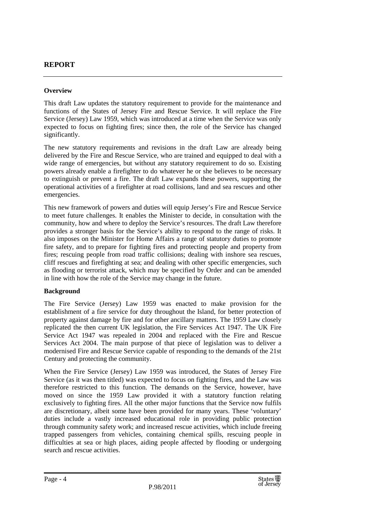#### **REPORT**

#### **Overview**

This draft Law updates the statutory requirement to provide for the maintenance and functions of the States of Jersey Fire and Rescue Service. It will replace the Fire Service (Jersey) Law 1959, which was introduced at a time when the Service was only expected to focus on fighting fires; since then, the role of the Service has changed significantly.

The new statutory requirements and revisions in the draft Law are already being delivered by the Fire and Rescue Service, who are trained and equipped to deal with a wide range of emergencies, but without any statutory requirement to do so. Existing powers already enable a firefighter to do whatever he or she believes to be necessary to extinguish or prevent a fire. The draft Law expands these powers, supporting the operational activities of a firefighter at road collisions, land and sea rescues and other emergencies.

This new framework of powers and duties will equip Jersey's Fire and Rescue Service to meet future challenges. It enables the Minister to decide, in consultation with the community, how and where to deploy the Service's resources. The draft Law therefore provides a stronger basis for the Service's ability to respond to the range of risks. It also imposes on the Minister for Home Affairs a range of statutory duties to promote fire safety, and to prepare for fighting fires and protecting people and property from fires; rescuing people from road traffic collisions; dealing with inshore sea rescues, cliff rescues and firefighting at sea; and dealing with other specific emergencies, such as flooding or terrorist attack, which may be specified by Order and can be amended in line with how the role of the Service may change in the future.

#### **Background**

The Fire Service (Jersey) Law 1959 was enacted to make provision for the establishment of a fire service for duty throughout the Island, for better protection of property against damage by fire and for other ancillary matters. The 1959 Law closely replicated the then current UK legislation, the Fire Services Act 1947. The UK Fire Service Act 1947 was repealed in 2004 and replaced with the Fire and Rescue Services Act 2004. The main purpose of that piece of legislation was to deliver a modernised Fire and Rescue Service capable of responding to the demands of the 21st Century and protecting the community.

When the Fire Service (Jersey) Law 1959 was introduced, the States of Jersey Fire Service (as it was then titled) was expected to focus on fighting fires, and the Law was therefore restricted to this function. The demands on the Service, however, have moved on since the 1959 Law provided it with a statutory function relating exclusively to fighting fires. All the other major functions that the Service now fulfils are discretionary, albeit some have been provided for many years. These 'voluntary' duties include a vastly increased educational role in providing public protection through community safety work; and increased rescue activities, which include freeing trapped passengers from vehicles, containing chemical spills, rescuing people in difficulties at sea or high places, aiding people affected by flooding or undergoing search and rescue activities.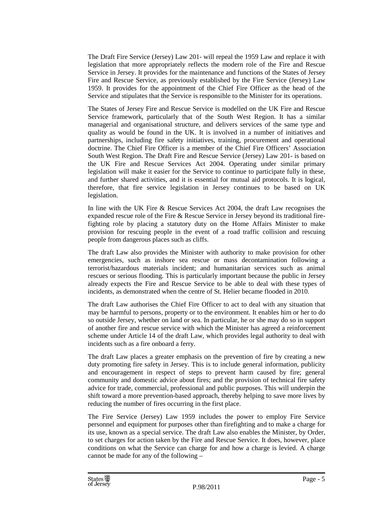The Draft Fire Service (Jersey) Law 201- will repeal the 1959 Law and replace it with legislation that more appropriately reflects the modern role of the Fire and Rescue Service in Jersey. It provides for the maintenance and functions of the States of Jersey Fire and Rescue Service, as previously established by the Fire Service (Jersey) Law 1959. It provides for the appointment of the Chief Fire Officer as the head of the Service and stipulates that the Service is responsible to the Minister for its operations.

The States of Jersey Fire and Rescue Service is modelled on the UK Fire and Rescue Service framework, particularly that of the South West Region. It has a similar managerial and organisational structure, and delivers services of the same type and quality as would be found in the UK. It is involved in a number of initiatives and partnerships, including fire safety initiatives, training, procurement and operational doctrine. The Chief Fire Officer is a member of the Chief Fire Officers' Association South West Region. The Draft Fire and Rescue Service (Jersey) Law 201- is based on the UK Fire and Rescue Services Act 2004. Operating under similar primary legislation will make it easier for the Service to continue to participate fully in these, and further shared activities, and it is essential for mutual aid protocols. It is logical, therefore, that fire service legislation in Jersey continues to be based on UK legislation.

In line with the UK Fire & Rescue Services Act 2004, the draft Law recognises the expanded rescue role of the Fire & Rescue Service in Jersey beyond its traditional firefighting role by placing a statutory duty on the Home Affairs Minister to make provision for rescuing people in the event of a road traffic collision and rescuing people from dangerous places such as cliffs.

The draft Law also provides the Minister with authority to make provision for other emergencies, such as inshore sea rescue or mass decontamination following a terrorist/hazardous materials incident; and humanitarian services such as animal rescues or serious flooding. This is particularly important because the public in Jersey already expects the Fire and Rescue Service to be able to deal with these types of incidents, as demonstrated when the centre of St. Helier became flooded in 2010.

The draft Law authorises the Chief Fire Officer to act to deal with any situation that may be harmful to persons, property or to the environment. It enables him or her to do so outside Jersey, whether on land or sea. In particular, he or she may do so in support of another fire and rescue service with which the Minister has agreed a reinforcement scheme under Article 14 of the draft Law, which provides legal authority to deal with incidents such as a fire onboard a ferry.

The draft Law places a greater emphasis on the prevention of fire by creating a new duty promoting fire safety in Jersey. This is to include general information, publicity and encouragement in respect of steps to prevent harm caused by fire; general community and domestic advice about fires; and the provision of technical fire safety advice for trade, commercial, professional and public purposes. This will underpin the shift toward a more prevention-based approach, thereby helping to save more lives by reducing the number of fires occurring in the first place.

The Fire Service (Jersey) Law 1959 includes the power to employ Fire Service personnel and equipment for purposes other than firefighting and to make a charge for its use, known as a special service. The draft Law also enables the Minister, by Order, to set charges for action taken by the Fire and Rescue Service. It does, however, place conditions on what the Service can charge for and how a charge is levied. A charge cannot be made for any of the following –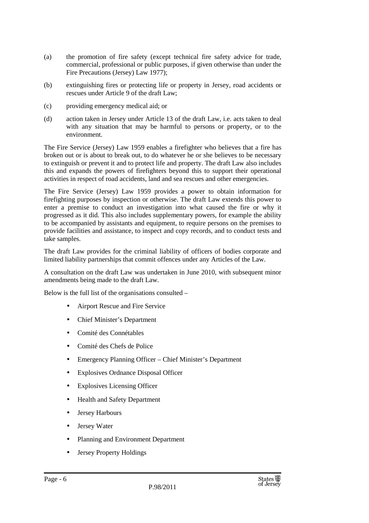- (a) the promotion of fire safety (except technical fire safety advice for trade, commercial, professional or public purposes, if given otherwise than under the Fire Precautions (Jersey) Law 1977);
- (b) extinguishing fires or protecting life or property in Jersey, road accidents or rescues under Article 9 of the draft Law;
- (c) providing emergency medical aid; or
- (d) action taken in Jersey under Article 13 of the draft Law, i.e. acts taken to deal with any situation that may be harmful to persons or property, or to the environment.

The Fire Service (Jersey) Law 1959 enables a firefighter who believes that a fire has broken out or is about to break out, to do whatever he or she believes to be necessary to extinguish or prevent it and to protect life and property. The draft Law also includes this and expands the powers of firefighters beyond this to support their operational activities in respect of road accidents, land and sea rescues and other emergencies.

The Fire Service (Jersey) Law 1959 provides a power to obtain information for firefighting purposes by inspection or otherwise. The draft Law extends this power to enter a premise to conduct an investigation into what caused the fire or why it progressed as it did. This also includes supplementary powers, for example the ability to be accompanied by assistants and equipment, to require persons on the premises to provide facilities and assistance, to inspect and copy records, and to conduct tests and take samples.

The draft Law provides for the criminal liability of officers of bodies corporate and limited liability partnerships that commit offences under any Articles of the Law.

A consultation on the draft Law was undertaken in June 2010, with subsequent minor amendments being made to the draft Law.

Below is the full list of the organisations consulted –

- Airport Rescue and Fire Service
- Chief Minister's Department
- Comité des Connétables
- Comité des Chefs de Police
- Emergency Planning Officer Chief Minister's Department
- Explosives Ordnance Disposal Officer
- Explosives Licensing Officer
- Health and Safety Department
- Jersey Harbours
- Jersey Water
- Planning and Environment Department
- Jersey Property Holdings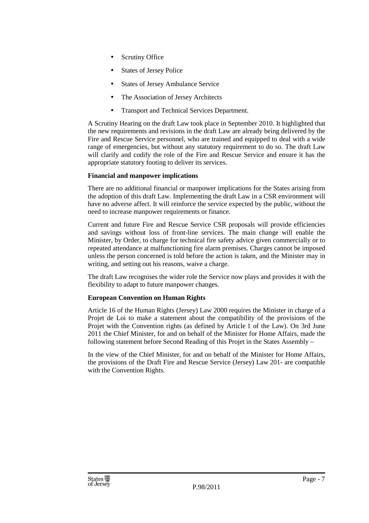- Scrutiny Office
- States of Jersey Police
- States of Jersey Ambulance Service
- The Association of Jersey Architects
- Transport and Technical Services Department.

A Scrutiny Hearing on the draft Law took place in September 2010. It highlighted that the new requirements and revisions in the draft Law are already being delivered by the Fire and Rescue Service personnel, who are trained and equipped to deal with a wide range of emergencies, but without any statutory requirement to do so. The draft Law will clarify and codify the role of the Fire and Rescue Service and ensure it has the appropriate statutory footing to deliver its services.

#### **Financial and manpower implications**

There are no additional financial or manpower implications for the States arising from the adoption of this draft Law. Implementing the draft Law in a CSR environment will have no adverse affect. It will reinforce the service expected by the public, without the need to increase manpower requirements or finance.

Current and future Fire and Rescue Service CSR proposals will provide efficiencies and savings without loss of front-line services. The main change will enable the Minister, by Order, to charge for technical fire safety advice given commercially or to repeated attendance at malfunctioning fire alarm premises. Charges cannot be imposed unless the person concerned is told before the action is taken, and the Minister may in writing, and setting out his reasons, waive a charge.

The draft Law recognises the wider role the Service now plays and provides it with the flexibility to adapt to future manpower changes.

#### **European Convention on Human Rights**

Article 16 of the Human Rights (Jersey) Law 2000 requires the Minister in charge of a Projet de Loi to make a statement about the compatibility of the provisions of the Projet with the Convention rights (as defined by Article 1 of the Law). On 3rd June 2011 the Chief Minister, for and on behalf of the Minister for Home Affairs, made the following statement before Second Reading of this Projet in the States Assembly –

In the view of the Chief Minister, for and on behalf of the Minister for Home Affairs, the provisions of the Draft Fire and Rescue Service (Jersey) Law 201- are compatible with the Convention Rights.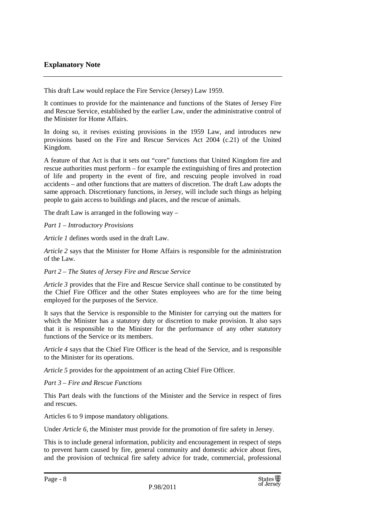### **Explanatory Note**

This draft Law would replace the Fire Service (Jersey) Law 1959.

It continues to provide for the maintenance and functions of the States of Jersey Fire and Rescue Service, established by the earlier Law, under the administrative control of the Minister for Home Affairs.

In doing so, it revises existing provisions in the 1959 Law, and introduces new provisions based on the Fire and Rescue Services Act 2004 (c.21) of the United Kingdom.

A feature of that Act is that it sets out "core" functions that United Kingdom fire and rescue authorities must perform – for example the extinguishing of fires and protection of life and property in the event of fire, and rescuing people involved in road accidents – and other functions that are matters of discretion. The draft Law adopts the same approach. Discretionary functions, in Jersey, will include such things as helping people to gain access to buildings and places, and the rescue of animals.

The draft Law is arranged in the following way –

*Part 1 – Introductory Provisions* 

*Article 1* defines words used in the draft Law.

*Article 2* says that the Minister for Home Affairs is responsible for the administration of the Law.

#### *Part 2 – The States of Jersey Fire and Rescue Service*

*Article 3* provides that the Fire and Rescue Service shall continue to be constituted by the Chief Fire Officer and the other States employees who are for the time being employed for the purposes of the Service.

It says that the Service is responsible to the Minister for carrying out the matters for which the Minister has a statutory duty or discretion to make provision. It also says that it is responsible to the Minister for the performance of any other statutory functions of the Service or its members.

*Article 4* says that the Chief Fire Officer is the head of the Service, and is responsible to the Minister for its operations.

*Article 5* provides for the appointment of an acting Chief Fire Officer.

*Part 3 – Fire and Rescue Functions* 

This Part deals with the functions of the Minister and the Service in respect of fires and rescues.

Articles 6 to 9 impose mandatory obligations.

Under *Article 6*, the Minister must provide for the promotion of fire safety in Jersey.

This is to include general information, publicity and encouragement in respect of steps to prevent harm caused by fire, general community and domestic advice about fires, and the provision of technical fire safety advice for trade, commercial, professional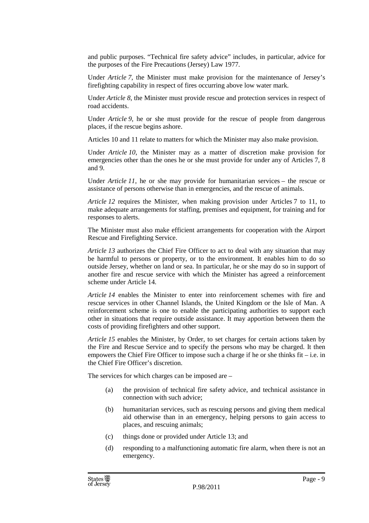and public purposes. "Technical fire safety advice" includes, in particular, advice for the purposes of the Fire Precautions (Jersey) Law 1977.

Under *Article 7*, the Minister must make provision for the maintenance of Jersey's firefighting capability in respect of fires occurring above low water mark.

Under *Article 8*, the Minister must provide rescue and protection services in respect of road accidents.

Under *Article 9,* he or she must provide for the rescue of people from dangerous places, if the rescue begins ashore.

Articles 10 and 11 relate to matters for which the Minister may also make provision.

Under *Article 10*, the Minister may as a matter of discretion make provision for emergencies other than the ones he or she must provide for under any of Articles 7, 8 and 9.

Under *Article 11*, he or she may provide for humanitarian services – the rescue or assistance of persons otherwise than in emergencies, and the rescue of animals.

*Article 12* requires the Minister, when making provision under Articles 7 to 11, to make adequate arrangements for staffing, premises and equipment, for training and for responses to alerts.

The Minister must also make efficient arrangements for cooperation with the Airport Rescue and Firefighting Service.

*Article 13* authorizes the Chief Fire Officer to act to deal with any situation that may be harmful to persons or property, or to the environment. It enables him to do so outside Jersey, whether on land or sea. In particular, he or she may do so in support of another fire and rescue service with which the Minister has agreed a reinforcement scheme under Article 14.

*Article 14* enables the Minister to enter into reinforcement schemes with fire and rescue services in other Channel Islands, the United Kingdom or the Isle of Man. A reinforcement scheme is one to enable the participating authorities to support each other in situations that require outside assistance. It may apportion between them the costs of providing firefighters and other support.

*Article 15* enables the Minister, by Order, to set charges for certain actions taken by the Fire and Rescue Service and to specify the persons who may be charged. It then empowers the Chief Fire Officer to impose such a charge if he or she thinks fit – i.e. in the Chief Fire Officer's discretion.

The services for which charges can be imposed are –

- (a) the provision of technical fire safety advice, and technical assistance in connection with such advice;
- (b) humanitarian services, such as rescuing persons and giving them medical aid otherwise than in an emergency, helping persons to gain access to places, and rescuing animals;
- (c) things done or provided under Article 13; and
- (d) responding to a malfunctioning automatic fire alarm, when there is not an emergency.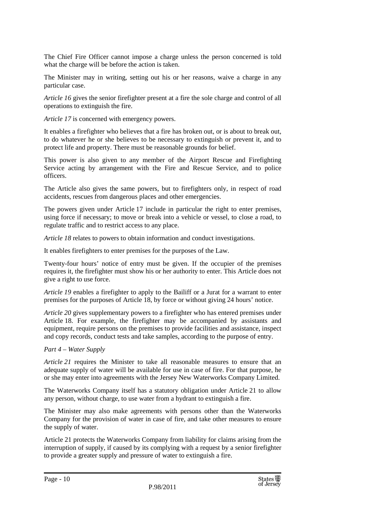The Chief Fire Officer cannot impose a charge unless the person concerned is told what the charge will be before the action is taken.

The Minister may in writing, setting out his or her reasons, waive a charge in any particular case.

*Article 16* gives the senior firefighter present at a fire the sole charge and control of all operations to extinguish the fire.

*Article 17* is concerned with emergency powers.

It enables a firefighter who believes that a fire has broken out, or is about to break out, to do whatever he or she believes to be necessary to extinguish or prevent it, and to protect life and property. There must be reasonable grounds for belief.

This power is also given to any member of the Airport Rescue and Firefighting Service acting by arrangement with the Fire and Rescue Service, and to police officers.

The Article also gives the same powers, but to firefighters only, in respect of road accidents, rescues from dangerous places and other emergencies.

The powers given under Article 17 include in particular the right to enter premises, using force if necessary; to move or break into a vehicle or vessel, to close a road, to regulate traffic and to restrict access to any place.

*Article 18* relates to powers to obtain information and conduct investigations.

It enables firefighters to enter premises for the purposes of the Law.

Twenty-four hours' notice of entry must be given. If the occupier of the premises requires it, the firefighter must show his or her authority to enter. This Article does not give a right to use force.

*Article 19* enables a firefighter to apply to the Bailiff or a Jurat for a warrant to enter premises for the purposes of Article 18, by force or without giving 24 hours' notice.

*Article 20* gives supplementary powers to a firefighter who has entered premises under Article 18. For example, the firefighter may be accompanied by assistants and equipment, require persons on the premises to provide facilities and assistance, inspect and copy records, conduct tests and take samples, according to the purpose of entry.

#### *Part 4 – Water Supply*

*Article 21* requires the Minister to take all reasonable measures to ensure that an adequate supply of water will be available for use in case of fire. For that purpose, he or she may enter into agreements with the Jersey New Waterworks Company Limited.

The Waterworks Company itself has a statutory obligation under Article 21 to allow any person, without charge, to use water from a hydrant to extinguish a fire.

The Minister may also make agreements with persons other than the Waterworks Company for the provision of water in case of fire, and take other measures to ensure the supply of water.

Article 21 protects the Waterworks Company from liability for claims arising from the interruption of supply, if caused by its complying with a request by a senior firefighter to provide a greater supply and pressure of water to extinguish a fire.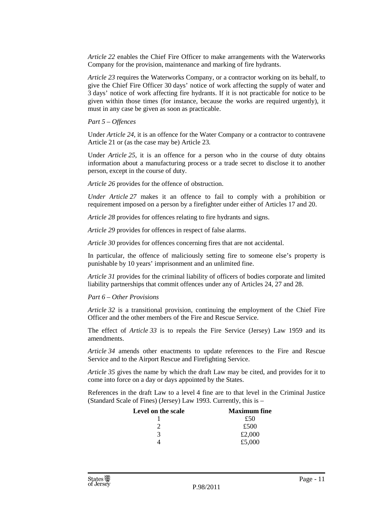*Article 22* enables the Chief Fire Officer to make arrangements with the Waterworks Company for the provision, maintenance and marking of fire hydrants.

*Article 23* requires the Waterworks Company, or a contractor working on its behalf, to give the Chief Fire Officer 30 days' notice of work affecting the supply of water and 3 days' notice of work affecting fire hydrants. If it is not practicable for notice to be given within those times (for instance, because the works are required urgently), it must in any case be given as soon as practicable.

*Part 5 – Offences* 

Under *Article 24*, it is an offence for the Water Company or a contractor to contravene Article 21 or (as the case may be) Article 23*.*

Under *Article 25*, it is an offence for a person who in the course of duty obtains information about a manufacturing process or a trade secret to disclose it to another person, except in the course of duty.

*Article 26* provides for the offence of obstruction.

*Under Article 27* makes it an offence to fail to comply with a prohibition or requirement imposed on a person by a firefighter under either of Articles 17 and 20.

*Article 28* provides for offences relating to fire hydrants and signs.

*Article 29* provides for offences in respect of false alarms.

*Article 30* provides for offences concerning fires that are not accidental.

In particular, the offence of maliciously setting fire to someone else's property is punishable by 10 years' imprisonment and an unlimited fine.

*Article 31* provides for the criminal liability of officers of bodies corporate and limited liability partnerships that commit offences under any of Articles 24, 27 and 28.

#### *Part 6 – Other Provisions*

*Article 32* is a transitional provision, continuing the employment of the Chief Fire Officer and the other members of the Fire and Rescue Service.

The effect of *Article 33* is to repeals the Fire Service (Jersey) Law 1959 and its amendments.

*Article 34* amends other enactments to update references to the Fire and Rescue Service and to the Airport Rescue and Firefighting Service.

*Article 35* gives the name by which the draft Law may be cited, and provides for it to come into force on a day or days appointed by the States.

References in the draft Law to a level 4 fine are to that level in the Criminal Justice (Standard Scale of Fines) (Jersey) Law 1993. Currently, this is –

| Level on the scale | <b>Maximum</b> fine |
|--------------------|---------------------|
|                    | £50                 |
|                    | £500                |
| 3                  | £2,000              |
|                    | £5,000              |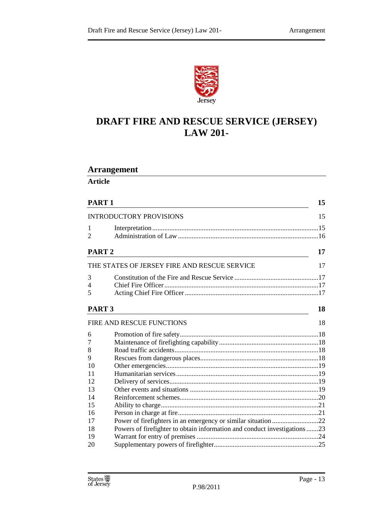

# **DRAFT FIRE AND RESCUE SERVICE (JERSEY) LAW 201-**

# **Arrangement**

**Article** 

|                   | PART <sub>1</sub><br><b>INTRODUCTORY PROVISIONS</b><br>2                  |    |
|-------------------|---------------------------------------------------------------------------|----|
|                   |                                                                           |    |
| 1                 |                                                                           |    |
| PART <sub>2</sub> |                                                                           | 17 |
|                   | THE STATES OF JERSEY FIRE AND RESCUE SERVICE                              | 17 |
| 3                 |                                                                           |    |
| 4                 |                                                                           |    |
| 5                 |                                                                           |    |
| PART <sub>3</sub> |                                                                           | 18 |
|                   | FIRE AND RESCUE FUNCTIONS                                                 | 18 |
| 6                 |                                                                           |    |
| 7                 |                                                                           |    |
| 8                 |                                                                           |    |
| 9                 |                                                                           |    |
| 10                |                                                                           |    |
| 11                |                                                                           |    |
| 12                |                                                                           |    |
| 13                |                                                                           |    |
| 14                |                                                                           |    |
| 15                |                                                                           |    |
| 16                |                                                                           |    |
| 17                | Power of firefighters in an emergency or similar situation 22             |    |
| 18                | Powers of firefighter to obtain information and conduct investigations 23 |    |
| 19                |                                                                           |    |
| 20                |                                                                           |    |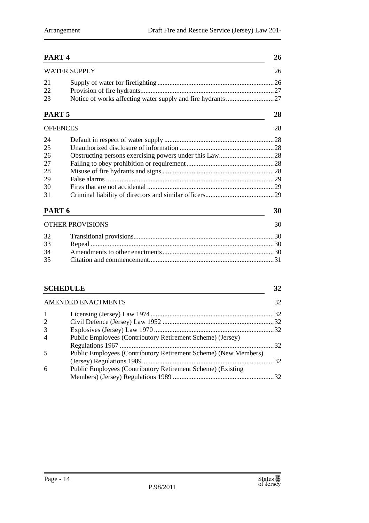| PART <sub>4</sub> |                                                            |    |
|-------------------|------------------------------------------------------------|----|
|                   | <b>WATER SUPPLY</b>                                        | 26 |
| 21                |                                                            |    |
| 22<br>23          | Notice of works affecting water supply and fire hydrants27 |    |
| PART <sub>5</sub> |                                                            | 28 |
| <b>OFFENCES</b>   |                                                            | 28 |
| 24                |                                                            |    |
| 25                |                                                            |    |
| 26                |                                                            |    |
| 27                |                                                            |    |
| 28                |                                                            |    |
| 29                |                                                            |    |
| 30                |                                                            |    |
| 31                |                                                            |    |
| PART <sub>6</sub> |                                                            | 30 |
|                   | <b>OTHER PROVISIONS</b>                                    | 30 |
| 32                |                                                            |    |
| 33                |                                                            |    |
| 34                |                                                            |    |
| 35                |                                                            |    |
| <b>SCHEDULE</b>   |                                                            | 32 |

|                | <b>AMENDED ENACTMENTS</b>                                       | 32 |
|----------------|-----------------------------------------------------------------|----|
|                |                                                                 |    |
| 2              |                                                                 |    |
| 3              |                                                                 |    |
| $\overline{4}$ | Public Employees (Contributory Retirement Scheme) (Jersey)      |    |
|                | Public Employees (Contributory Retirement Scheme) (New Members) |    |
| 6              | Public Employees (Contributory Retirement Scheme) (Existing     |    |
|                |                                                                 |    |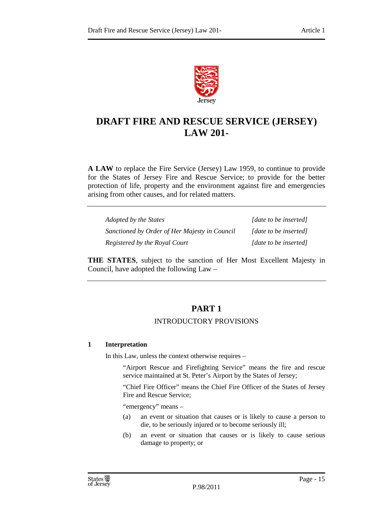

# **DRAFT FIRE AND RESCUE SERVICE (JERSEY) LAW 201-**

**A LAW** to replace the Fire Service (Jersey) Law 1959, to continue to provide for the States of Jersey Fire and Rescue Service; to provide for the better protection of life, property and the environment against fire and emergencies arising from other causes, and for related matters.

| Adopted by the States                         | [date to be inserted] |
|-----------------------------------------------|-----------------------|
| Sanctioned by Order of Her Majesty in Council | [date to be inserted] |
| Registered by the Royal Court                 | [date to be inserted] |

**THE STATES**, subject to the sanction of Her Most Excellent Majesty in Council, have adopted the following Law –

## **PART 1**

#### INTRODUCTORY PROVISIONS

#### **1 Interpretation**

In this Law, unless the context otherwise requires –

"Airport Rescue and Firefighting Service" means the fire and rescue service maintained at St. Peter's Airport by the States of Jersey;

"Chief Fire Officer" means the Chief Fire Officer of the States of Jersey Fire and Rescue Service;

"emergency" means –

- (a) an event or situation that causes or is likely to cause a person to die, to be seriously injured or to become seriously ill;
- (b) an event or situation that causes or is likely to cause serious damage to property; or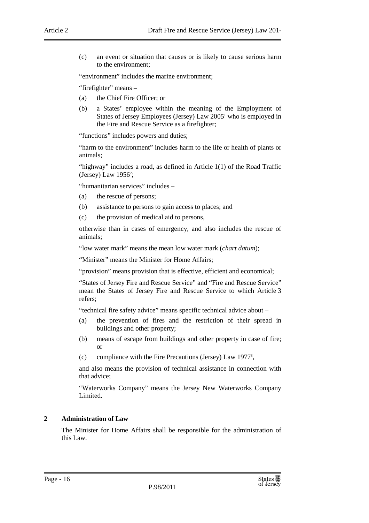(c) an event or situation that causes or is likely to cause serious harm to the environment;

"environment" includes the marine environment;

"firefighter" means –

- (a) the Chief Fire Officer; or
- (b) a States' employee within the meaning of the Employment of States of Jersey Employees (Jersey) Law 2005<sup>1</sup> who is employed in the Fire and Rescue Service as a firefighter;

"functions" includes powers and duties;

"harm to the environment" includes harm to the life or health of plants or animals;

"highway" includes a road, as defined in Article 1(1) of the Road Traffic (Jersey) Law  $1956^2$ ;

"humanitarian services" includes –

- (a) the rescue of persons;
- (b) assistance to persons to gain access to places; and
- (c) the provision of medical aid to persons,

otherwise than in cases of emergency, and also includes the rescue of animals;

"low water mark" means the mean low water mark (*chart datum*);

"Minister" means the Minister for Home Affairs;

"provision" means provision that is effective, efficient and economical;

"States of Jersey Fire and Rescue Service" and "Fire and Rescue Service" mean the States of Jersey Fire and Rescue Service to which Article 3 refers;

"technical fire safety advice" means specific technical advice about –

- (a) the prevention of fires and the restriction of their spread in buildings and other property;
- (b) means of escape from buildings and other property in case of fire; or
- (c) compliance with the Fire Precautions (Jersey) Law 1977<sup>3</sup> ,

and also means the provision of technical assistance in connection with that advice;

"Waterworks Company" means the Jersey New Waterworks Company Limited.

#### **2 Administration of Law**

The Minister for Home Affairs shall be responsible for the administration of this Law.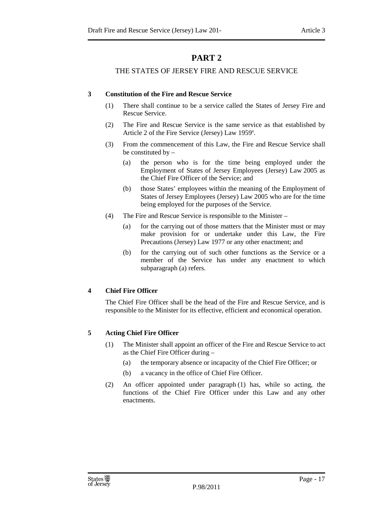# **PART 2**

#### THE STATES OF JERSEY FIRE AND RESCUE SERVICE

#### **3 Constitution of the Fire and Rescue Service**

- (1) There shall continue to be a service called the States of Jersey Fire and Rescue Service.
- (2) The Fire and Rescue Service is the same service as that established by Article 2 of the Fire Service (Jersey) Law 1959<sup>4</sup>.
- (3) From the commencement of this Law, the Fire and Rescue Service shall be constituted by –
	- (a) the person who is for the time being employed under the Employment of States of Jersey Employees (Jersey) Law 2005 as the Chief Fire Officer of the Service; and
	- (b) those States' employees within the meaning of the Employment of States of Jersey Employees (Jersey) Law 2005 who are for the time being employed for the purposes of the Service.
- (4) The Fire and Rescue Service is responsible to the Minister
	- (a) for the carrying out of those matters that the Minister must or may make provision for or undertake under this Law, the Fire Precautions (Jersey) Law 1977 or any other enactment; and
	- (b) for the carrying out of such other functions as the Service or a member of the Service has under any enactment to which subparagraph (a) refers.

#### **4 Chief Fire Officer**

The Chief Fire Officer shall be the head of the Fire and Rescue Service, and is responsible to the Minister for its effective, efficient and economical operation.

#### **5 Acting Chief Fire Officer**

- (1) The Minister shall appoint an officer of the Fire and Rescue Service to act as the Chief Fire Officer during –
	- (a) the temporary absence or incapacity of the Chief Fire Officer; or
	- (b) a vacancy in the office of Chief Fire Officer.
- (2) An officer appointed under paragraph (1) has, while so acting, the functions of the Chief Fire Officer under this Law and any other enactments.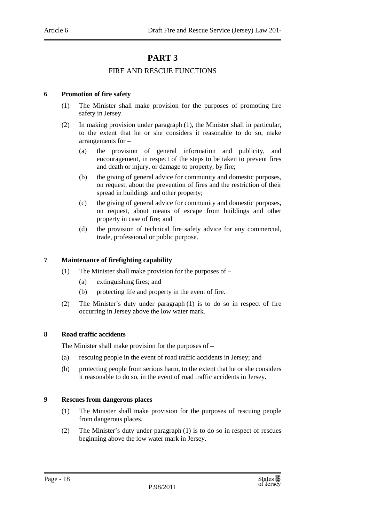# **PART 3**

#### FIRE AND RESCUE FUNCTIONS

#### **6 Promotion of fire safety**

- (1) The Minister shall make provision for the purposes of promoting fire safety in Jersey.
- (2) In making provision under paragraph (1), the Minister shall in particular, to the extent that he or she considers it reasonable to do so, make arrangements for –
	- (a) the provision of general information and publicity, and encouragement, in respect of the steps to be taken to prevent fires and death or injury, or damage to property, by fire;
	- (b) the giving of general advice for community and domestic purposes, on request, about the prevention of fires and the restriction of their spread in buildings and other property;
	- (c) the giving of general advice for community and domestic purposes, on request, about means of escape from buildings and other property in case of fire; and
	- (d) the provision of technical fire safety advice for any commercial, trade, professional or public purpose.

#### **7 Maintenance of firefighting capability**

- (1) The Minister shall make provision for the purposes of
	- (a) extinguishing fires; and
	- (b) protecting life and property in the event of fire.
- (2) The Minister's duty under paragraph (1) is to do so in respect of fire occurring in Jersey above the low water mark.

#### **8 Road traffic accidents**

The Minister shall make provision for the purposes of –

- (a) rescuing people in the event of road traffic accidents in Jersey; and
- (b) protecting people from serious harm, to the extent that he or she considers it reasonable to do so, in the event of road traffic accidents in Jersey.

#### **9 Rescues from dangerous places**

- (1) The Minister shall make provision for the purposes of rescuing people from dangerous places.
- (2) The Minister's duty under paragraph (1) is to do so in respect of rescues beginning above the low water mark in Jersey.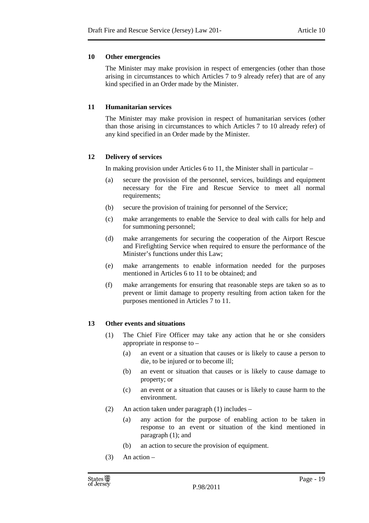#### **10 Other emergencies**

The Minister may make provision in respect of emergencies (other than those arising in circumstances to which Articles 7 to 9 already refer) that are of any kind specified in an Order made by the Minister.

#### **11 Humanitarian services**

The Minister may make provision in respect of humanitarian services (other than those arising in circumstances to which Articles 7 to 10 already refer) of any kind specified in an Order made by the Minister.

#### **12 Delivery of services**

In making provision under Articles 6 to 11, the Minister shall in particular –

- (a) secure the provision of the personnel, services, buildings and equipment necessary for the Fire and Rescue Service to meet all normal requirements;
- (b) secure the provision of training for personnel of the Service;
- (c) make arrangements to enable the Service to deal with calls for help and for summoning personnel;
- (d) make arrangements for securing the cooperation of the Airport Rescue and Firefighting Service when required to ensure the performance of the Minister's functions under this Law;
- (e) make arrangements to enable information needed for the purposes mentioned in Articles 6 to 11 to be obtained; and
- (f) make arrangements for ensuring that reasonable steps are taken so as to prevent or limit damage to property resulting from action taken for the purposes mentioned in Articles 7 to 11.

#### **13 Other events and situations**

- (1) The Chief Fire Officer may take any action that he or she considers appropriate in response to –
	- (a) an event or a situation that causes or is likely to cause a person to die, to be injured or to become ill;
	- (b) an event or situation that causes or is likely to cause damage to property; or
	- (c) an event or a situation that causes or is likely to cause harm to the environment.
- (2) An action taken under paragraph (1) includes
	- (a) any action for the purpose of enabling action to be taken in response to an event or situation of the kind mentioned in paragraph (1); and
	- (b) an action to secure the provision of equipment.
- $(3)$  An action –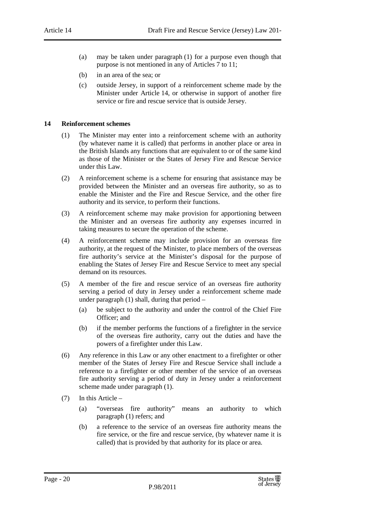- (a) may be taken under paragraph (1) for a purpose even though that purpose is not mentioned in any of Articles 7 to 11;
- (b) in an area of the sea; or
- (c) outside Jersey, in support of a reinforcement scheme made by the Minister under Article 14, or otherwise in support of another fire service or fire and rescue service that is outside Jersey.

#### **14 Reinforcement schemes**

- (1) The Minister may enter into a reinforcement scheme with an authority (by whatever name it is called) that performs in another place or area in the British Islands any functions that are equivalent to or of the same kind as those of the Minister or the States of Jersey Fire and Rescue Service under this Law.
- (2) A reinforcement scheme is a scheme for ensuring that assistance may be provided between the Minister and an overseas fire authority, so as to enable the Minister and the Fire and Rescue Service, and the other fire authority and its service, to perform their functions.
- (3) A reinforcement scheme may make provision for apportioning between the Minister and an overseas fire authority any expenses incurred in taking measures to secure the operation of the scheme.
- (4) A reinforcement scheme may include provision for an overseas fire authority, at the request of the Minister, to place members of the overseas fire authority's service at the Minister's disposal for the purpose of enabling the States of Jersey Fire and Rescue Service to meet any special demand on its resources.
- (5) A member of the fire and rescue service of an overseas fire authority serving a period of duty in Jersey under a reinforcement scheme made under paragraph (1) shall, during that period –
	- (a) be subject to the authority and under the control of the Chief Fire Officer: and
	- (b) if the member performs the functions of a firefighter in the service of the overseas fire authority, carry out the duties and have the powers of a firefighter under this Law.
- (6) Any reference in this Law or any other enactment to a firefighter or other member of the States of Jersey Fire and Rescue Service shall include a reference to a firefighter or other member of the service of an overseas fire authority serving a period of duty in Jersey under a reinforcement scheme made under paragraph (1).
- (7) In this Article
	- (a) "overseas fire authority" means an authority to which paragraph (1) refers; and
	- (b) a reference to the service of an overseas fire authority means the fire service, or the fire and rescue service, (by whatever name it is called) that is provided by that authority for its place or area.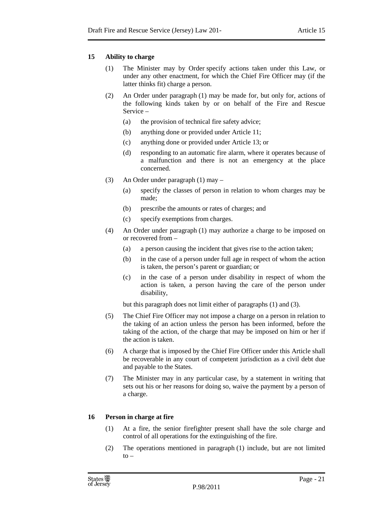#### **15 Ability to charge**

- (1) The Minister may by Order specify actions taken under this Law, or under any other enactment, for which the Chief Fire Officer may (if the latter thinks fit) charge a person.
- (2) An Order under paragraph (1) may be made for, but only for, actions of the following kinds taken by or on behalf of the Fire and Rescue Service –
	- (a) the provision of technical fire safety advice;
	- (b) anything done or provided under Article 11;
	- (c) anything done or provided under Article 13; or
	- (d) responding to an automatic fire alarm, where it operates because of a malfunction and there is not an emergency at the place concerned.
- (3) An Order under paragraph (1) may
	- (a) specify the classes of person in relation to whom charges may be made;
	- (b) prescribe the amounts or rates of charges; and
	- (c) specify exemptions from charges.
- (4) An Order under paragraph (1) may authorize a charge to be imposed on or recovered from –
	- (a) a person causing the incident that gives rise to the action taken;
	- (b) in the case of a person under full age in respect of whom the action is taken, the person's parent or guardian; or
	- (c) in the case of a person under disability in respect of whom the action is taken, a person having the care of the person under disability,

but this paragraph does not limit either of paragraphs (1) and (3).

- (5) The Chief Fire Officer may not impose a charge on a person in relation to the taking of an action unless the person has been informed, before the taking of the action, of the charge that may be imposed on him or her if the action is taken.
- (6) A charge that is imposed by the Chief Fire Officer under this Article shall be recoverable in any court of competent jurisdiction as a civil debt due and payable to the States.
- (7) The Minister may in any particular case, by a statement in writing that sets out his or her reasons for doing so, waive the payment by a person of a charge.

#### **16 Person in charge at fire**

- (1) At a fire, the senior firefighter present shall have the sole charge and control of all operations for the extinguishing of the fire.
- (2) The operations mentioned in paragraph (1) include, but are not limited  $t_0$  –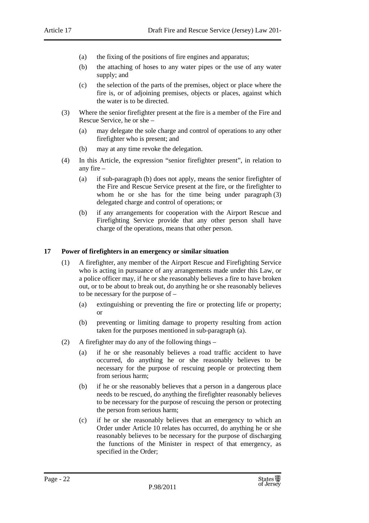- (a) the fixing of the positions of fire engines and apparatus;
- (b) the attaching of hoses to any water pipes or the use of any water supply; and
- (c) the selection of the parts of the premises, object or place where the fire is, or of adjoining premises, objects or places, against which the water is to be directed.
- (3) Where the senior firefighter present at the fire is a member of the Fire and Rescue Service, he or she –
	- (a) may delegate the sole charge and control of operations to any other firefighter who is present; and
	- (b) may at any time revoke the delegation.
- (4) In this Article, the expression "senior firefighter present", in relation to any fire –
	- (a) if sub-paragraph (b) does not apply, means the senior firefighter of the Fire and Rescue Service present at the fire, or the firefighter to whom he or she has for the time being under paragraph (3) delegated charge and control of operations; or
	- (b) if any arrangements for cooperation with the Airport Rescue and Firefighting Service provide that any other person shall have charge of the operations, means that other person.

#### **17 Power of firefighters in an emergency or similar situation**

- (1) A firefighter, any member of the Airport Rescue and Firefighting Service who is acting in pursuance of any arrangements made under this Law, or a police officer may, if he or she reasonably believes a fire to have broken out, or to be about to break out, do anything he or she reasonably believes to be necessary for the purpose of –
	- (a) extinguishing or preventing the fire or protecting life or property; or
	- (b) preventing or limiting damage to property resulting from action taken for the purposes mentioned in sub-paragraph (a).
- (2) A firefighter may do any of the following things
	- (a) if he or she reasonably believes a road traffic accident to have occurred, do anything he or she reasonably believes to be necessary for the purpose of rescuing people or protecting them from serious harm;
	- (b) if he or she reasonably believes that a person in a dangerous place needs to be rescued, do anything the firefighter reasonably believes to be necessary for the purpose of rescuing the person or protecting the person from serious harm;
	- (c) if he or she reasonably believes that an emergency to which an Order under Article 10 relates has occurred, do anything he or she reasonably believes to be necessary for the purpose of discharging the functions of the Minister in respect of that emergency, as specified in the Order;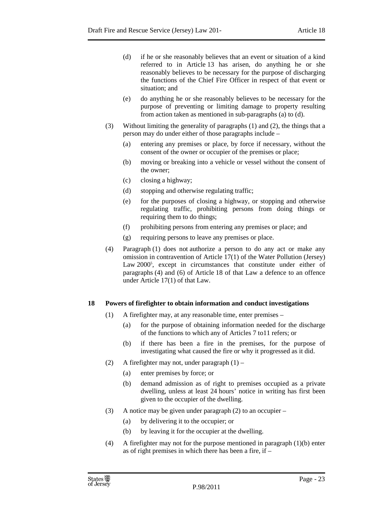- (d) if he or she reasonably believes that an event or situation of a kind referred to in Article 13 has arisen, do anything he or she reasonably believes to be necessary for the purpose of discharging the functions of the Chief Fire Officer in respect of that event or situation; and
- (e) do anything he or she reasonably believes to be necessary for the purpose of preventing or limiting damage to property resulting from action taken as mentioned in sub-paragraphs (a) to (d).
- (3) Without limiting the generality of paragraphs (1) and (2), the things that a person may do under either of those paragraphs include –
	- (a) entering any premises or place, by force if necessary, without the consent of the owner or occupier of the premises or place;
	- (b) moving or breaking into a vehicle or vessel without the consent of the owner;
	- (c) closing a highway;
	- (d) stopping and otherwise regulating traffic;
	- (e) for the purposes of closing a highway, or stopping and otherwise regulating traffic, prohibiting persons from doing things or requiring them to do things;
	- (f) prohibiting persons from entering any premises or place; and
	- (g) requiring persons to leave any premises or place.
- (4) Paragraph (1) does not authorize a person to do any act or make any omission in contravention of Article 17(1) of the Water Pollution (Jersey) Law 2000<sup>5</sup>, except in circumstances that constitute under either of paragraphs (4) and (6) of Article 18 of that Law a defence to an offence under Article 17(1) of that Law.

#### **18 Powers of firefighter to obtain information and conduct investigations**

- (1) A firefighter may, at any reasonable time, enter premises
	- (a) for the purpose of obtaining information needed for the discharge of the functions to which any of Articles 7 to11 refers; or
	- (b) if there has been a fire in the premises, for the purpose of investigating what caused the fire or why it progressed as it did.
- (2) A firefighter may not, under paragraph (1)
	- (a) enter premises by force; or
	- (b) demand admission as of right to premises occupied as a private dwelling, unless at least 24 hours' notice in writing has first been given to the occupier of the dwelling.
- (3) A notice may be given under paragraph (2) to an occupier
	- (a) by delivering it to the occupier; or
	- (b) by leaving it for the occupier at the dwelling.
- (4) A firefighter may not for the purpose mentioned in paragraph (1)(b) enter as of right premises in which there has been a fire, if –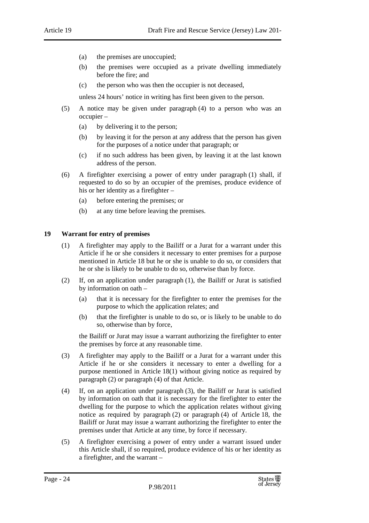- (a) the premises are unoccupied;
- (b) the premises were occupied as a private dwelling immediately before the fire; and
- (c) the person who was then the occupier is not deceased,

unless 24 hours' notice in writing has first been given to the person.

- (5) A notice may be given under paragraph (4) to a person who was an occupier –
	- (a) by delivering it to the person;
	- (b) by leaving it for the person at any address that the person has given for the purposes of a notice under that paragraph; or
	- (c) if no such address has been given, by leaving it at the last known address of the person.
- (6) A firefighter exercising a power of entry under paragraph (1) shall, if requested to do so by an occupier of the premises, produce evidence of his or her identity as a firefighter –
	- (a) before entering the premises; or
	- (b) at any time before leaving the premises.

#### **19 Warrant for entry of premises**

- (1) A firefighter may apply to the Bailiff or a Jurat for a warrant under this Article if he or she considers it necessary to enter premises for a purpose mentioned in Article 18 but he or she is unable to do so, or considers that he or she is likely to be unable to do so, otherwise than by force.
- (2) If, on an application under paragraph (1), the Bailiff or Jurat is satisfied by information on oath –
	- (a) that it is necessary for the firefighter to enter the premises for the purpose to which the application relates; and
	- (b) that the firefighter is unable to do so, or is likely to be unable to do so, otherwise than by force,

the Bailiff or Jurat may issue a warrant authorizing the firefighter to enter the premises by force at any reasonable time.

- (3) A firefighter may apply to the Bailiff or a Jurat for a warrant under this Article if he or she considers it necessary to enter a dwelling for a purpose mentioned in Article 18(1) without giving notice as required by paragraph (2) or paragraph (4) of that Article.
- (4) If, on an application under paragraph (3), the Bailiff or Jurat is satisfied by information on oath that it is necessary for the firefighter to enter the dwelling for the purpose to which the application relates without giving notice as required by paragraph (2) or paragraph (4) of Article 18, the Bailiff or Jurat may issue a warrant authorizing the firefighter to enter the premises under that Article at any time, by force if necessary.
- (5) A firefighter exercising a power of entry under a warrant issued under this Article shall, if so required, produce evidence of his or her identity as a firefighter, and the warrant –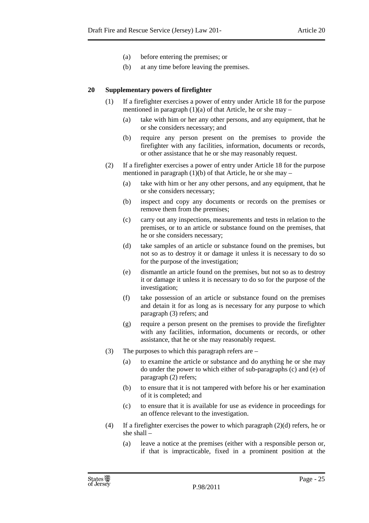- (a) before entering the premises; or
- (b) at any time before leaving the premises.

#### **20 Supplementary powers of firefighter**

- (1) If a firefighter exercises a power of entry under Article 18 for the purpose mentioned in paragraph  $(1)(a)$  of that Article, he or she may –
	- (a) take with him or her any other persons, and any equipment, that he or she considers necessary; and
	- (b) require any person present on the premises to provide the firefighter with any facilities, information, documents or records, or other assistance that he or she may reasonably request.
- (2) If a firefighter exercises a power of entry under Article 18 for the purpose mentioned in paragraph  $(1)(b)$  of that Article, he or she may –
	- (a) take with him or her any other persons, and any equipment, that he or she considers necessary;
	- (b) inspect and copy any documents or records on the premises or remove them from the premises;
	- (c) carry out any inspections, measurements and tests in relation to the premises, or to an article or substance found on the premises, that he or she considers necessary;
	- (d) take samples of an article or substance found on the premises, but not so as to destroy it or damage it unless it is necessary to do so for the purpose of the investigation;
	- (e) dismantle an article found on the premises, but not so as to destroy it or damage it unless it is necessary to do so for the purpose of the investigation;
	- (f) take possession of an article or substance found on the premises and detain it for as long as is necessary for any purpose to which paragraph (3) refers; and
	- (g) require a person present on the premises to provide the firefighter with any facilities, information, documents or records, or other assistance, that he or she may reasonably request.
- (3) The purposes to which this paragraph refers are
	- (a) to examine the article or substance and do anything he or she may do under the power to which either of sub-paragraphs (c) and (e) of paragraph (2) refers;
	- (b) to ensure that it is not tampered with before his or her examination of it is completed; and
	- (c) to ensure that it is available for use as evidence in proceedings for an offence relevant to the investigation.
- (4) If a firefighter exercises the power to which paragraph  $(2)(d)$  refers, he or she shall –
	- (a) leave a notice at the premises (either with a responsible person or, if that is impracticable, fixed in a prominent position at the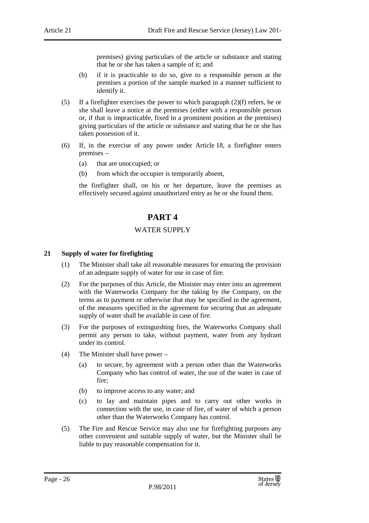premises) giving particulars of the article or substance and stating that he or she has taken a sample of it; and

- (b) if it is practicable to do so, give to a responsible person at the premises a portion of the sample marked in a manner sufficient to identify it.
- (5) If a firefighter exercises the power to which paragraph (2)(f) refers, he or she shall leave a notice at the premises (either with a responsible person or, if that is impracticable, fixed in a prominent position at the premises) giving particulars of the article or substance and stating that he or she has taken possession of it.
- (6) If, in the exercise of any power under Article 18, a firefighter enters premises –
	- (a) that are unoccupied; or
	- (b) from which the occupier is temporarily absent,

the firefighter shall, on his or her departure, leave the premises as effectively secured against unauthorized entry as he or she found them.

## **PART 4**

#### WATER SUPPLY

#### **21 Supply of water for firefighting**

- (1) The Minister shall take all reasonable measures for ensuring the provision of an adequate supply of water for use in case of fire.
- (2) For the purposes of this Article, the Minister may enter into an agreement with the Waterworks Company for the taking by the Company, on the terms as to payment or otherwise that may be specified in the agreement, of the measures specified in the agreement for securing that an adequate supply of water shall be available in case of fire.
- (3) For the purposes of extinguishing fires, the Waterworks Company shall permit any person to take, without payment, water from any hydrant under its control.
- (4) The Minister shall have power
	- (a) to secure, by agreement with a person other than the Waterworks Company who has control of water, the use of the water in case of fire;
	- (b) to improve access to any water; and
	- (c) to lay and maintain pipes and to carry out other works in connection with the use, in case of fire, of water of which a person other than the Waterworks Company has control.
- (5) The Fire and Rescue Service may also use for firefighting purposes any other convenient and suitable supply of water, but the Minister shall be liable to pay reasonable compensation for it.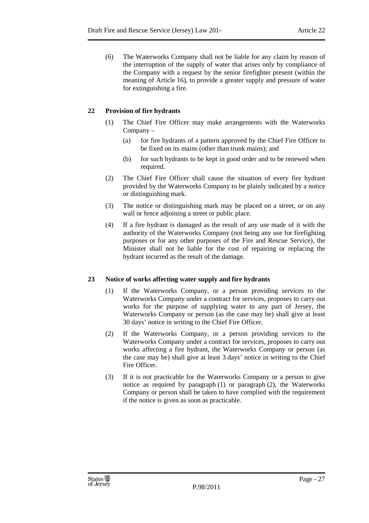(6) The Waterworks Company shall not be liable for any claim by reason of the interruption of the supply of water that arises only by compliance of the Company with a request by the senior firefighter present (within the meaning of Article 16), to provide a greater supply and pressure of water for extinguishing a fire.

### **22 Provision of fire hydrants**

- (1) The Chief Fire Officer may make arrangements with the Waterworks Company –
	- (a) for fire hydrants of a pattern approved by the Chief Fire Officer to be fixed on its mains (other than trunk mains); and
	- (b) for such hydrants to be kept in good order and to be renewed when required.
- (2) The Chief Fire Officer shall cause the situation of every fire hydrant provided by the Waterworks Company to be plainly indicated by a notice or distinguishing mark.
- (3) The notice or distinguishing mark may be placed on a street, or on any wall or fence adjoining a street or public place.
- (4) If a fire hydrant is damaged as the result of any use made of it with the authority of the Waterworks Company (not being any use for firefighting purposes or for any other purposes of the Fire and Rescue Service), the Minister shall not be liable for the cost of repairing or replacing the hydrant incurred as the result of the damage.

#### **23 Notice of works affecting water supply and fire hydrants**

- (1) If the Waterworks Company, or a person providing services to the Waterworks Company under a contract for services, proposes to carry out works for the purpose of supplying water to any part of Jersey, the Waterworks Company or person (as the case may be) shall give at least 30 days' notice in writing to the Chief Fire Officer.
- (2) If the Waterworks Company, or a person providing services to the Waterworks Company under a contract for services, proposes to carry out works affecting a fire hydrant, the Waterworks Company or person (as the case may be) shall give at least 3 days' notice in writing to the Chief Fire Officer.
- (3) If it is not practicable for the Waterworks Company or a person to give notice as required by paragraph (1) or paragraph (2), the Waterworks Company or person shall be taken to have complied with the requirement if the notice is given as soon as practicable.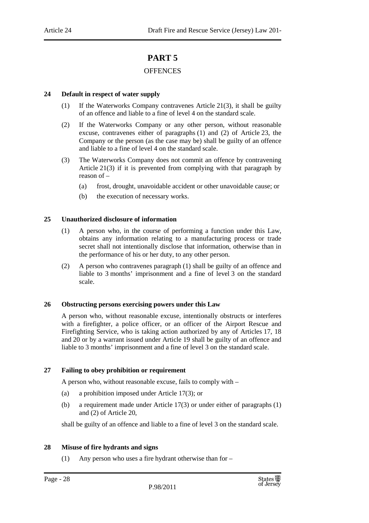# **PART 5**

#### **OFFENCES**

#### **24 Default in respect of water supply**

- (1) If the Waterworks Company contravenes Article 21(3), it shall be guilty of an offence and liable to a fine of level 4 on the standard scale.
- (2) If the Waterworks Company or any other person, without reasonable excuse, contravenes either of paragraphs (1) and (2) of Article 23, the Company or the person (as the case may be) shall be guilty of an offence and liable to a fine of level 4 on the standard scale.
- (3) The Waterworks Company does not commit an offence by contravening Article 21(3) if it is prevented from complying with that paragraph by reason of –
	- (a) frost, drought, unavoidable accident or other unavoidable cause; or
	- (b) the execution of necessary works.

#### **25 Unauthorized disclosure of information**

- (1) A person who, in the course of performing a function under this Law, obtains any information relating to a manufacturing process or trade secret shall not intentionally disclose that information, otherwise than in the performance of his or her duty, to any other person.
- (2) A person who contravenes paragraph (1) shall be guilty of an offence and liable to 3 months' imprisonment and a fine of level 3 on the standard scale.

#### **26 Obstructing persons exercising powers under this Law**

A person who, without reasonable excuse, intentionally obstructs or interferes with a firefighter, a police officer, or an officer of the Airport Rescue and Firefighting Service, who is taking action authorized by any of Articles 17, 18 and 20 or by a warrant issued under Article 19 shall be guilty of an offence and liable to 3 months' imprisonment and a fine of level 3 on the standard scale.

#### **27 Failing to obey prohibition or requirement**

A person who, without reasonable excuse, fails to comply with –

- (a) a prohibition imposed under Article 17(3); or
- (b) a requirement made under Article 17(3) or under either of paragraphs (1) and (2) of Article 20,

shall be guilty of an offence and liable to a fine of level 3 on the standard scale.

#### **28 Misuse of fire hydrants and signs**

(1) Any person who uses a fire hydrant otherwise than for –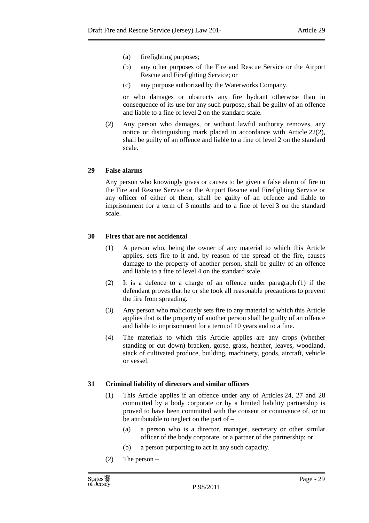- (a) firefighting purposes;
- (b) any other purposes of the Fire and Rescue Service or the Airport Rescue and Firefighting Service; or
- (c) any purpose authorized by the Waterworks Company,

or who damages or obstructs any fire hydrant otherwise than in consequence of its use for any such purpose, shall be guilty of an offence and liable to a fine of level 2 on the standard scale.

(2) Any person who damages, or without lawful authority removes, any notice or distinguishing mark placed in accordance with Article 22(2), shall be guilty of an offence and liable to a fine of level 2 on the standard scale.

#### **29 False alarms**

Any person who knowingly gives or causes to be given a false alarm of fire to the Fire and Rescue Service or the Airport Rescue and Firefighting Service or any officer of either of them, shall be guilty of an offence and liable to imprisonment for a term of 3 months and to a fine of level 3 on the standard scale.

#### **30 Fires that are not accidental**

- (1) A person who, being the owner of any material to which this Article applies, sets fire to it and, by reason of the spread of the fire, causes damage to the property of another person, shall be guilty of an offence and liable to a fine of level 4 on the standard scale.
- (2) It is a defence to a charge of an offence under paragraph (1) if the defendant proves that he or she took all reasonable precautions to prevent the fire from spreading.
- (3) Any person who maliciously sets fire to any material to which this Article applies that is the property of another person shall be guilty of an offence and liable to imprisonment for a term of 10 years and to a fine.
- (4) The materials to which this Article applies are any crops (whether standing or cut down) bracken, gorse, grass, heather, leaves, woodland, stack of cultivated produce, building, machinery, goods, aircraft, vehicle or vessel.

#### **31 Criminal liability of directors and similar officers**

- (1) This Article applies if an offence under any of Articles 24, 27 and 28 committed by a body corporate or by a limited liability partnership is proved to have been committed with the consent or connivance of, or to be attributable to neglect on the part of –
	- (a) a person who is a director, manager, secretary or other similar officer of the body corporate, or a partner of the partnership; or
	- (b) a person purporting to act in any such capacity.
- (2) The person –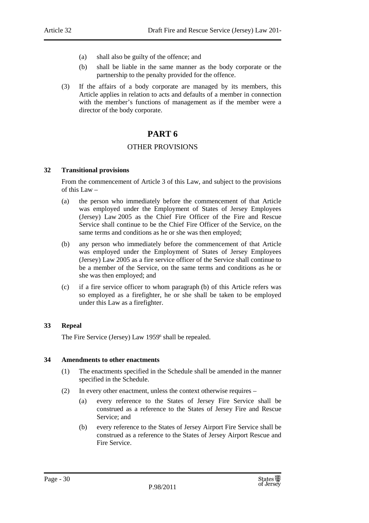- (a) shall also be guilty of the offence; and
- (b) shall be liable in the same manner as the body corporate or the partnership to the penalty provided for the offence.
- (3) If the affairs of a body corporate are managed by its members, this Article applies in relation to acts and defaults of a member in connection with the member's functions of management as if the member were a director of the body corporate.

## **PART 6**

#### OTHER PROVISIONS

#### **32 Transitional provisions**

From the commencement of Article 3 of this Law, and subject to the provisions of this Law –

- (a) the person who immediately before the commencement of that Article was employed under the Employment of States of Jersey Employees (Jersey) Law 2005 as the Chief Fire Officer of the Fire and Rescue Service shall continue to be the Chief Fire Officer of the Service, on the same terms and conditions as he or she was then employed;
- (b) any person who immediately before the commencement of that Article was employed under the Employment of States of Jersey Employees (Jersey) Law 2005 as a fire service officer of the Service shall continue to be a member of the Service, on the same terms and conditions as he or she was then employed; and
- (c) if a fire service officer to whom paragraph (b) of this Article refers was so employed as a firefighter, he or she shall be taken to be employed under this Law as a firefighter.

#### **33 Repeal**

The Fire Service (Jersey) Law 1959<sup>6</sup> shall be repealed.

#### **34 Amendments to other enactments**

- (1) The enactments specified in the Schedule shall be amended in the manner specified in the Schedule.
- (2) In every other enactment, unless the context otherwise requires
	- (a) every reference to the States of Jersey Fire Service shall be construed as a reference to the States of Jersey Fire and Rescue Service; and
	- (b) every reference to the States of Jersey Airport Fire Service shall be construed as a reference to the States of Jersey Airport Rescue and Fire Service.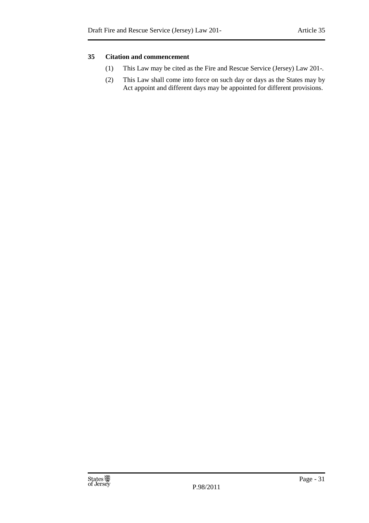#### **35 Citation and commencement**

- (1) This Law may be cited as the Fire and Rescue Service (Jersey) Law 201-.
- (2) This Law shall come into force on such day or days as the States may by Act appoint and different days may be appointed for different provisions.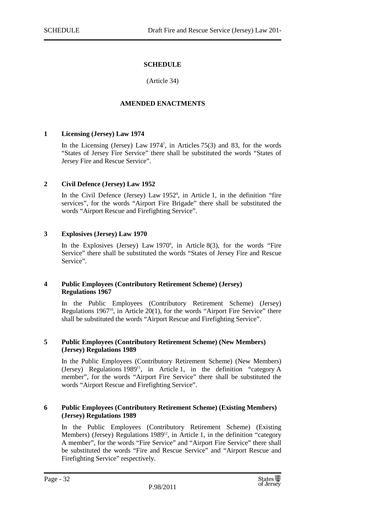#### **SCHEDULE**

(Article 34)

#### **AMENDED ENACTMENTS**

#### **1 Licensing (Jersey) Law 1974**

In the Licensing (Jersey) Law 1974<sup>7</sup> , in Articles 75(3) and 83, for the words "States of Jersey Fire Service" there shall be substituted the words "States of Jersey Fire and Rescue Service".

#### **2 Civil Defence (Jersey) Law 1952**

In the Civil Defence (Jersey) Law  $1952^s$ , in Article 1, in the definition "fire services", for the words "Airport Fire Brigade" there shall be substituted the words "Airport Rescue and Firefighting Service".

#### **3 Explosives (Jersey) Law 1970**

In the Explosives (Jersey) Law  $1970^{\circ}$ , in Article 8(3), for the words "Fire Service" there shall be substituted the words "States of Jersey Fire and Rescue Service".

#### **4 Public Employees (Contributory Retirement Scheme) (Jersey) Regulations 1967**

In the Public Employees (Contributory Retirement Scheme) (Jersey) Regulations  $1967<sup>10</sup>$ , in Article 20(1), for the words "Airport Fire Service" there shall be substituted the words "Airport Rescue and Firefighting Service".

#### **5 Public Employees (Contributory Retirement Scheme) (New Members) (Jersey) Regulations 1989**

In the Public Employees (Contributory Retirement Scheme) (New Members) (Jersey) Regulations 1989<sup>11</sup>, in Article 1, in the definition "category A member", for the words "Airport Fire Service" there shall be substituted the words "Airport Rescue and Firefighting Service".

#### **6 Public Employees (Contributory Retirement Scheme) (Existing Members) (Jersey) Regulations 1989**

In the Public Employees (Contributory Retirement Scheme) (Existing Members) (Jersey) Regulations  $1989^{12}$ , in Article 1, in the definition "category A member", for the words "Fire Service" and "Airport Fire Service" there shall be substituted the words "Fire and Rescue Service" and "Airport Rescue and Firefighting Service" respectively.